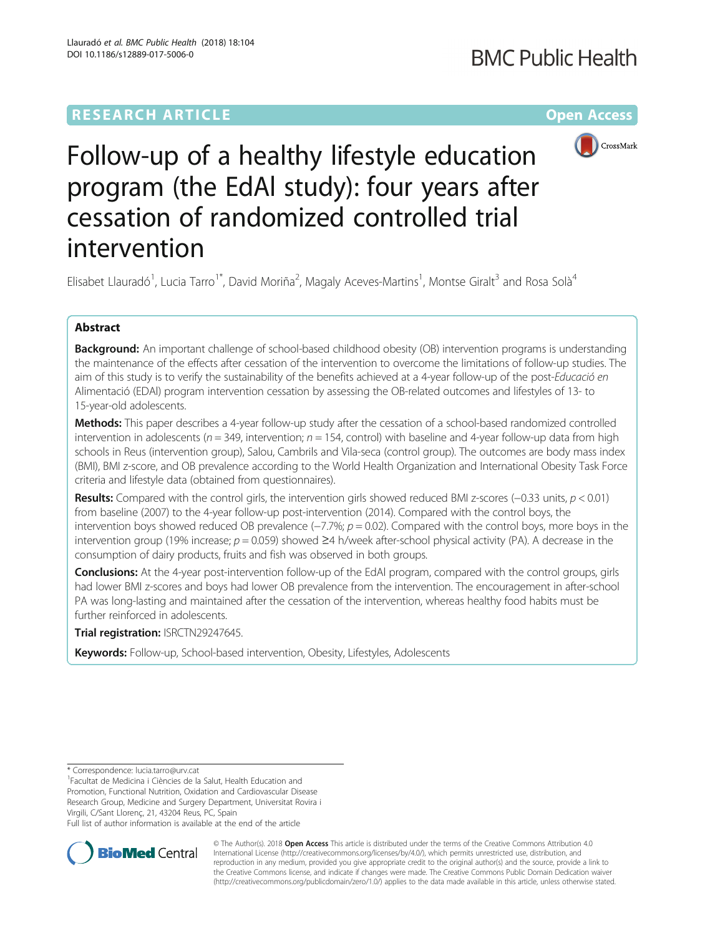# **RESEARCH ARTICLE Example 2014 12:30 The Community Community Community Community Community Community Community**



Follow-up of a healthy lifestyle education program (the EdAl study): four years after cessation of randomized controlled trial intervention

Elisabet Llauradó<sup>1</sup>, Lucia Tarro<sup>1\*</sup>, David Moriña<sup>2</sup>, Magaly Aceves-Martins<sup>1</sup>, Montse Giralt<sup>3</sup> and Rosa Solà<sup>4</sup>

## Abstract

**Background:** An important challenge of school-based childhood obesity (OB) intervention programs is understanding the maintenance of the effects after cessation of the intervention to overcome the limitations of follow-up studies. The aim of this study is to verify the sustainability of the benefits achieved at a 4-year follow-up of the post-Educació en Alimentació (EDAl) program intervention cessation by assessing the OB-related outcomes and lifestyles of 13- to 15-year-old adolescents.

Methods: This paper describes a 4-year follow-up study after the cessation of a school-based randomized controlled intervention in adolescents ( $n = 349$ , intervention;  $n = 154$ , control) with baseline and 4-year follow-up data from high schools in Reus (intervention group), Salou, Cambrils and Vila-seca (control group). The outcomes are body mass index (BMI), BMI z-score, and OB prevalence according to the World Health Organization and International Obesity Task Force criteria and lifestyle data (obtained from questionnaires).

Results: Compared with the control girls, the intervention girls showed reduced BMI z-scores (−0.33 units, p < 0.01) from baseline (2007) to the 4-year follow-up post-intervention (2014). Compared with the control boys, the intervention boys showed reduced OB prevalence (−7.7%; p = 0.02). Compared with the control boys, more boys in the intervention group (19% increase;  $p = 0.059$ ) showed ≥4 h/week after-school physical activity (PA). A decrease in the consumption of dairy products, fruits and fish was observed in both groups.

Conclusions: At the 4-year post-intervention follow-up of the EdAI program, compared with the control groups, girls had lower BMI z-scores and boys had lower OB prevalence from the intervention. The encouragement in after-school PA was long-lasting and maintained after the cessation of the intervention, whereas healthy food habits must be further reinforced in adolescents.

Trial registration: [ISRCTN29247645.](http://www.isrctn.com/ISRCTN29247645)

Keywords: Follow-up, School-based intervention, Obesity, Lifestyles, Adolescents

Facultat de Medicina i Ciències de la Salut, Health Education and

Promotion, Functional Nutrition, Oxidation and Cardiovascular Disease Research Group, Medicine and Surgery Department, Universitat Rovira i

Virgili, C/Sant Llorenç, 21, 43204 Reus, PC, Spain

Full list of author information is available at the end of the article



© The Author(s). 2018 **Open Access** This article is distributed under the terms of the Creative Commons Attribution 4.0 International License [\(http://creativecommons.org/licenses/by/4.0/](http://creativecommons.org/licenses/by/4.0/)), which permits unrestricted use, distribution, and reproduction in any medium, provided you give appropriate credit to the original author(s) and the source, provide a link to the Creative Commons license, and indicate if changes were made. The Creative Commons Public Domain Dedication waiver [\(http://creativecommons.org/publicdomain/zero/1.0/](http://creativecommons.org/publicdomain/zero/1.0/)) applies to the data made available in this article, unless otherwise stated.

<sup>\*</sup> Correspondence: [lucia.tarro@urv.cat](mailto:lucia.tarro@urv.cat) <sup>1</sup>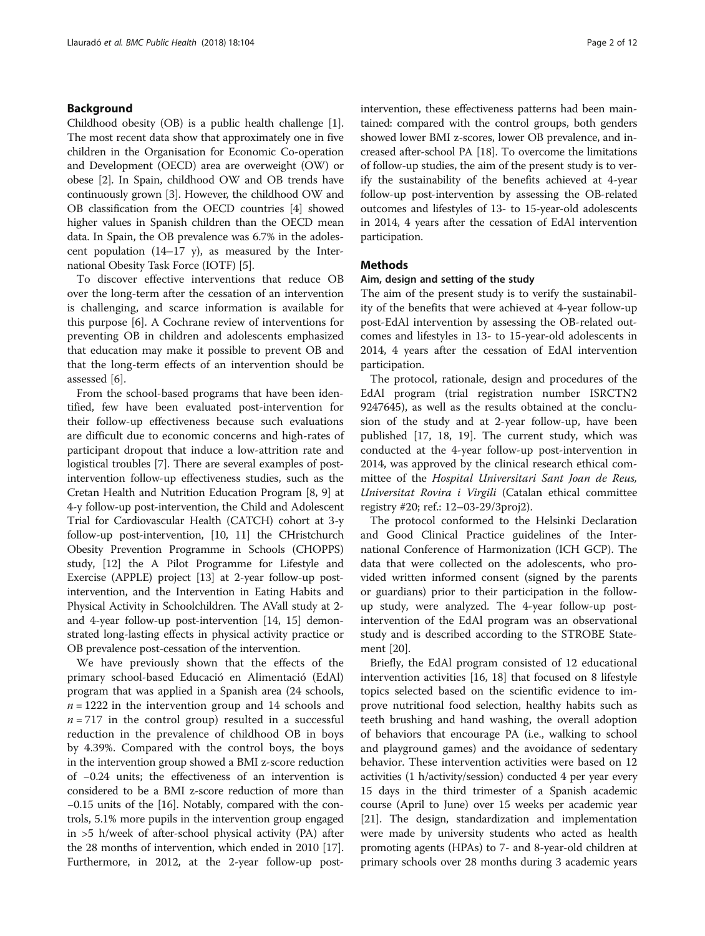## Background

Childhood obesity (OB) is a public health challenge [[1](#page-10-0)]. The most recent data show that approximately one in five children in the Organisation for Economic Co-operation and Development (OECD) area are overweight (OW) or obese [\[2](#page-10-0)]. In Spain, childhood OW and OB trends have continuously grown [[3\]](#page-10-0). However, the childhood OW and OB classification from the OECD countries [[4\]](#page-10-0) showed higher values in Spanish children than the OECD mean data. In Spain, the OB prevalence was 6.7% in the adolescent population (14–17 y), as measured by the International Obesity Task Force (IOTF) [\[5\]](#page-10-0).

To discover effective interventions that reduce OB over the long-term after the cessation of an intervention is challenging, and scarce information is available for this purpose [\[6\]](#page-10-0). A Cochrane review of interventions for preventing OB in children and adolescents emphasized that education may make it possible to prevent OB and that the long-term effects of an intervention should be assessed [\[6](#page-10-0)].

From the school-based programs that have been identified, few have been evaluated post-intervention for their follow-up effectiveness because such evaluations are difficult due to economic concerns and high-rates of participant dropout that induce a low-attrition rate and logistical troubles [\[7](#page-10-0)]. There are several examples of postintervention follow-up effectiveness studies, such as the Cretan Health and Nutrition Education Program [[8](#page-10-0), [9\]](#page-10-0) at 4-y follow-up post-intervention, the Child and Adolescent Trial for Cardiovascular Health (CATCH) cohort at 3-y follow-up post-intervention, [\[10, 11](#page-10-0)] the CHristchurch Obesity Prevention Programme in Schools (CHOPPS) study, [[12](#page-10-0)] the A Pilot Programme for Lifestyle and Exercise (APPLE) project [[13](#page-10-0)] at 2-year follow-up postintervention, and the Intervention in Eating Habits and Physical Activity in Schoolchildren. The AVall study at 2 and 4-year follow-up post-intervention [\[14](#page-10-0), [15](#page-10-0)] demonstrated long-lasting effects in physical activity practice or OB prevalence post-cessation of the intervention.

We have previously shown that the effects of the primary school-based Educació en Alimentació (EdAl) program that was applied in a Spanish area (24 schools,  $n = 1222$  in the intervention group and 14 schools and  $n = 717$  in the control group) resulted in a successful reduction in the prevalence of childhood OB in boys by 4.39%. Compared with the control boys, the boys in the intervention group showed a BMI z-score reduction of −0.24 units; the effectiveness of an intervention is considered to be a BMI z-score reduction of more than −0.15 units of the [\[16\]](#page-10-0). Notably, compared with the controls, 5.1% more pupils in the intervention group engaged in >5 h/week of after-school physical activity (PA) after the 28 months of intervention, which ended in 2010 [[17](#page-10-0)]. Furthermore, in 2012, at the 2-year follow-up postintervention, these effectiveness patterns had been maintained: compared with the control groups, both genders showed lower BMI z-scores, lower OB prevalence, and increased after-school PA [[18](#page-10-0)]. To overcome the limitations of follow-up studies, the aim of the present study is to verify the sustainability of the benefits achieved at 4-year follow-up post-intervention by assessing the OB-related outcomes and lifestyles of 13- to 15-year-old adolescents in 2014, 4 years after the cessation of EdAl intervention participation.

## Methods

#### Aim, design and setting of the study

The aim of the present study is to verify the sustainability of the benefits that were achieved at 4-year follow-up post-EdAl intervention by assessing the OB-related outcomes and lifestyles in 13- to 15-year-old adolescents in 2014, 4 years after the cessation of EdAl intervention participation.

The protocol, rationale, design and procedures of the EdAl program (trial registration number ISRCTN2 9247645), as well as the results obtained at the conclusion of the study and at 2-year follow-up, have been published [[17](#page-10-0), [18, 19\]](#page-10-0). The current study, which was conducted at the 4-year follow-up post-intervention in 2014, was approved by the clinical research ethical committee of the Hospital Universitari Sant Joan de Reus, Universitat Rovira i Virgili (Catalan ethical committee registry #20; ref.: 12–03-29/3proj2).

The protocol conformed to the Helsinki Declaration and Good Clinical Practice guidelines of the International Conference of Harmonization (ICH GCP). The data that were collected on the adolescents, who provided written informed consent (signed by the parents or guardians) prior to their participation in the followup study, were analyzed. The 4-year follow-up postintervention of the EdAl program was an observational study and is described according to the STROBE Statement [[20\]](#page-10-0).

Briefly, the EdAl program consisted of 12 educational intervention activities [\[16, 18](#page-10-0)] that focused on 8 lifestyle topics selected based on the scientific evidence to improve nutritional food selection, healthy habits such as teeth brushing and hand washing, the overall adoption of behaviors that encourage PA (i.e., walking to school and playground games) and the avoidance of sedentary behavior. These intervention activities were based on 12 activities (1 h/activity/session) conducted 4 per year every 15 days in the third trimester of a Spanish academic course (April to June) over 15 weeks per academic year [[21](#page-10-0)]. The design, standardization and implementation were made by university students who acted as health promoting agents (HPAs) to 7- and 8-year-old children at primary schools over 28 months during 3 academic years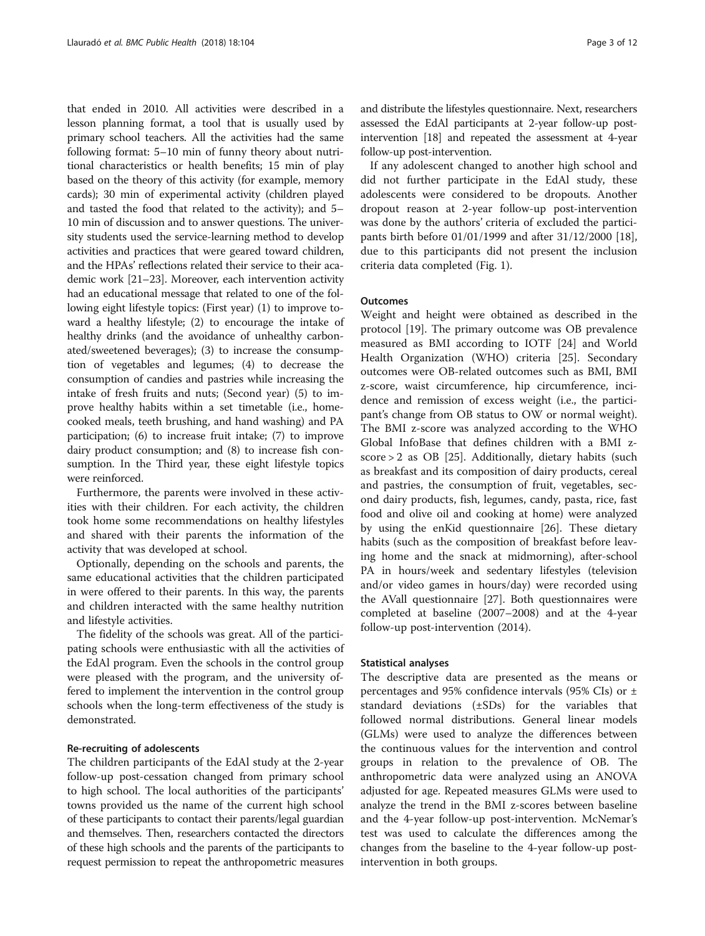that ended in 2010. All activities were described in a lesson planning format, a tool that is usually used by primary school teachers. All the activities had the same following format: 5–10 min of funny theory about nutritional characteristics or health benefits; 15 min of play based on the theory of this activity (for example, memory cards); 30 min of experimental activity (children played and tasted the food that related to the activity); and 5– 10 min of discussion and to answer questions. The university students used the service-learning method to develop activities and practices that were geared toward children, and the HPAs' reflections related their service to their academic work [[21](#page-10-0)–[23\]](#page-10-0). Moreover, each intervention activity had an educational message that related to one of the following eight lifestyle topics: (First year) (1) to improve toward a healthy lifestyle; (2) to encourage the intake of healthy drinks (and the avoidance of unhealthy carbonated/sweetened beverages); (3) to increase the consumption of vegetables and legumes; (4) to decrease the consumption of candies and pastries while increasing the intake of fresh fruits and nuts; (Second year) (5) to improve healthy habits within a set timetable (i.e., homecooked meals, teeth brushing, and hand washing) and PA participation; (6) to increase fruit intake; (7) to improve dairy product consumption; and (8) to increase fish consumption. In the Third year, these eight lifestyle topics were reinforced.

Furthermore, the parents were involved in these activities with their children. For each activity, the children took home some recommendations on healthy lifestyles and shared with their parents the information of the activity that was developed at school.

Optionally, depending on the schools and parents, the same educational activities that the children participated in were offered to their parents. In this way, the parents and children interacted with the same healthy nutrition and lifestyle activities.

The fidelity of the schools was great. All of the participating schools were enthusiastic with all the activities of the EdAl program. Even the schools in the control group were pleased with the program, and the university offered to implement the intervention in the control group schools when the long-term effectiveness of the study is demonstrated.

### Re-recruiting of adolescents

The children participants of the EdAl study at the 2-year follow-up post-cessation changed from primary school to high school. The local authorities of the participants' towns provided us the name of the current high school of these participants to contact their parents/legal guardian and themselves. Then, researchers contacted the directors of these high schools and the parents of the participants to request permission to repeat the anthropometric measures and distribute the lifestyles questionnaire. Next, researchers assessed the EdAl participants at 2-year follow-up postintervention [\[18](#page-10-0)] and repeated the assessment at 4-year follow-up post-intervention.

If any adolescent changed to another high school and did not further participate in the EdAl study, these adolescents were considered to be dropouts. Another dropout reason at 2-year follow-up post-intervention was done by the authors' criteria of excluded the participants birth before 01/01/1999 and after 31/12/2000 [\[18](#page-10-0)], due to this participants did not present the inclusion criteria data completed (Fig. [1\)](#page-3-0).

## Outcomes

Weight and height were obtained as described in the protocol [[19\]](#page-10-0). The primary outcome was OB prevalence measured as BMI according to IOTF [\[24](#page-10-0)] and World Health Organization (WHO) criteria [[25\]](#page-10-0). Secondary outcomes were OB-related outcomes such as BMI, BMI z-score, waist circumference, hip circumference, incidence and remission of excess weight (i.e., the participant's change from OB status to OW or normal weight). The BMI z-score was analyzed according to the WHO Global InfoBase that defines children with a BMI zscore > 2 as OB [[25\]](#page-10-0). Additionally, dietary habits (such as breakfast and its composition of dairy products, cereal and pastries, the consumption of fruit, vegetables, second dairy products, fish, legumes, candy, pasta, rice, fast food and olive oil and cooking at home) were analyzed by using the enKid questionnaire [[26\]](#page-10-0). These dietary habits (such as the composition of breakfast before leaving home and the snack at midmorning), after-school PA in hours/week and sedentary lifestyles (television and/or video games in hours/day) were recorded using the AVall questionnaire [[27\]](#page-11-0). Both questionnaires were completed at baseline (2007–2008) and at the 4-year follow-up post-intervention (2014).

#### Statistical analyses

The descriptive data are presented as the means or percentages and 95% confidence intervals (95% CIs) or ± standard deviations (±SDs) for the variables that followed normal distributions. General linear models (GLMs) were used to analyze the differences between the continuous values for the intervention and control groups in relation to the prevalence of OB. The anthropometric data were analyzed using an ANOVA adjusted for age. Repeated measures GLMs were used to analyze the trend in the BMI z-scores between baseline and the 4-year follow-up post-intervention. McNemar's test was used to calculate the differences among the changes from the baseline to the 4-year follow-up postintervention in both groups.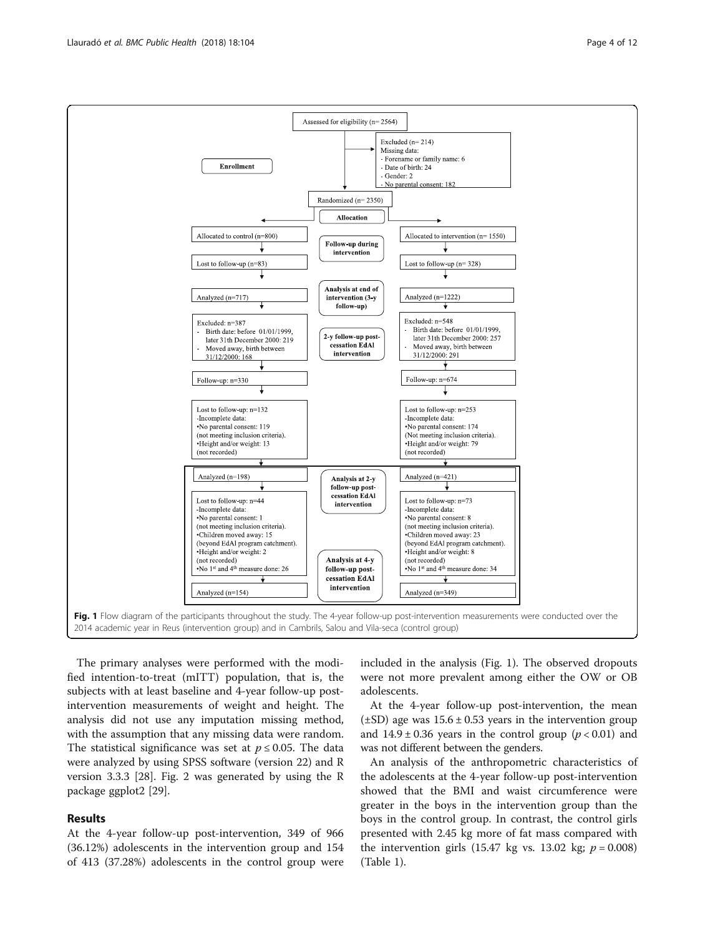<span id="page-3-0"></span>

The primary analyses were performed with the modified intention-to-treat (mITT) population, that is, the subjects with at least baseline and 4-year follow-up postintervention measurements of weight and height. The analysis did not use any imputation missing method, with the assumption that any missing data were random. The statistical significance was set at  $p \le 0.05$ . The data were analyzed by using SPSS software (version 22) and R version 3.3.3 [[28\]](#page-11-0). Fig. [2](#page-4-0) was generated by using the R package ggplot2 [[29](#page-11-0)].

## Results

At the 4-year follow-up post-intervention, 349 of 966 (36.12%) adolescents in the intervention group and 154 of 413 (37.28%) adolescents in the control group were

included in the analysis (Fig. 1). The observed dropouts were not more prevalent among either the OW or OB adolescents.

At the 4-year follow-up post-intervention, the mean  $(\pm SD)$  age was  $15.6 \pm 0.53$  years in the intervention group and  $14.9 \pm 0.36$  years in the control group ( $p < 0.01$ ) and was not different between the genders.

An analysis of the anthropometric characteristics of the adolescents at the 4-year follow-up post-intervention showed that the BMI and waist circumference were greater in the boys in the intervention group than the boys in the control group. In contrast, the control girls presented with 2.45 kg more of fat mass compared with the intervention girls (15.47 kg vs. 13.02 kg;  $p = 0.008$ ) (Table [1\)](#page-5-0).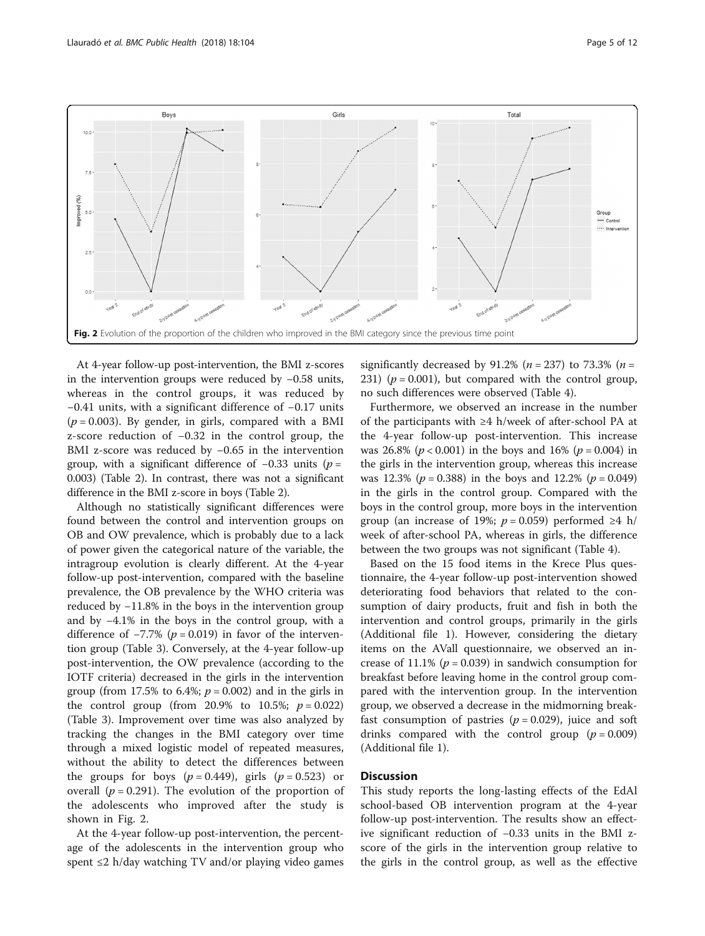<span id="page-4-0"></span>

At 4-year follow-up post-intervention, the BMI z-scores in the intervention groups were reduced by −0.58 units, whereas in the control groups, it was reduced by −0.41 units, with a significant difference of −0.17 units  $(p = 0.003)$ . By gender, in girls, compared with a BMI z-score reduction of −0.32 in the control group, the BMI z-score was reduced by −0.65 in the intervention group, with a significant difference of  $-0.33$  units ( $p =$ 0.003) (Table [2](#page-6-0)). In contrast, there was not a significant difference in the BMI z-score in boys (Table [2\)](#page-6-0).

Although no statistically significant differences were found between the control and intervention groups on OB and OW prevalence, which is probably due to a lack of power given the categorical nature of the variable, the intragroup evolution is clearly different. At the 4-year follow-up post-intervention, compared with the baseline prevalence, the OB prevalence by the WHO criteria was reduced by −11.8% in the boys in the intervention group and by −4.1% in the boys in the control group, with a difference of  $-7.7\%$  ( $p = 0.019$ ) in favor of the intervention group (Table [3\)](#page-7-0). Conversely, at the 4-year follow-up post-intervention, the OW prevalence (according to the IOTF criteria) decreased in the girls in the intervention group (from 17.5% to 6.4%;  $p = 0.002$ ) and in the girls in the control group (from 20.9% to 10.5%;  $p = 0.022$ ) (Table [3\)](#page-7-0). Improvement over time was also analyzed by tracking the changes in the BMI category over time through a mixed logistic model of repeated measures, without the ability to detect the differences between the groups for boys  $(p = 0.449)$ , girls  $(p = 0.523)$  or overall ( $p = 0.291$ ). The evolution of the proportion of the adolescents who improved after the study is shown in Fig. 2.

At the 4-year follow-up post-intervention, the percentage of the adolescents in the intervention group who spent  $\leq$ 2 h/day watching TV and/or playing video games significantly decreased by 91.2% ( $n = 237$ ) to 73.3% ( $n =$ 231) ( $p = 0.001$ ), but compared with the control group, no such differences were observed (Table [4\)](#page-8-0).

Furthermore, we observed an increase in the number of the participants with ≥4 h/week of after-school PA at the 4-year follow-up post-intervention. This increase was 26.8% ( $p < 0.001$ ) in the boys and 16% ( $p = 0.004$ ) in the girls in the intervention group, whereas this increase was 12.3% ( $p = 0.388$ ) in the boys and 12.2% ( $p = 0.049$ ) in the girls in the control group. Compared with the boys in the control group, more boys in the intervention group (an increase of 19%;  $p = 0.059$ ) performed ≥4 h/ week of after-school PA, whereas in girls, the difference between the two groups was not significant (Table [4\)](#page-8-0).

Based on the 15 food items in the Krece Plus questionnaire, the 4-year follow-up post-intervention showed deteriorating food behaviors that related to the consumption of dairy products, fruit and fish in both the intervention and control groups, primarily in the girls (Additional file [1](#page-9-0)). However, considering the dietary items on the AVall questionnaire, we observed an increase of 11.1% ( $p = 0.039$ ) in sandwich consumption for breakfast before leaving home in the control group compared with the intervention group. In the intervention group, we observed a decrease in the midmorning breakfast consumption of pastries ( $p = 0.029$ ), juice and soft drinks compared with the control group  $(p = 0.009)$ (Additional file [1](#page-9-0)).

## **Discussion**

This study reports the long-lasting effects of the EdAl school-based OB intervention program at the 4-year follow-up post-intervention. The results show an effective significant reduction of −0.33 units in the BMI zscore of the girls in the intervention group relative to the girls in the control group, as well as the effective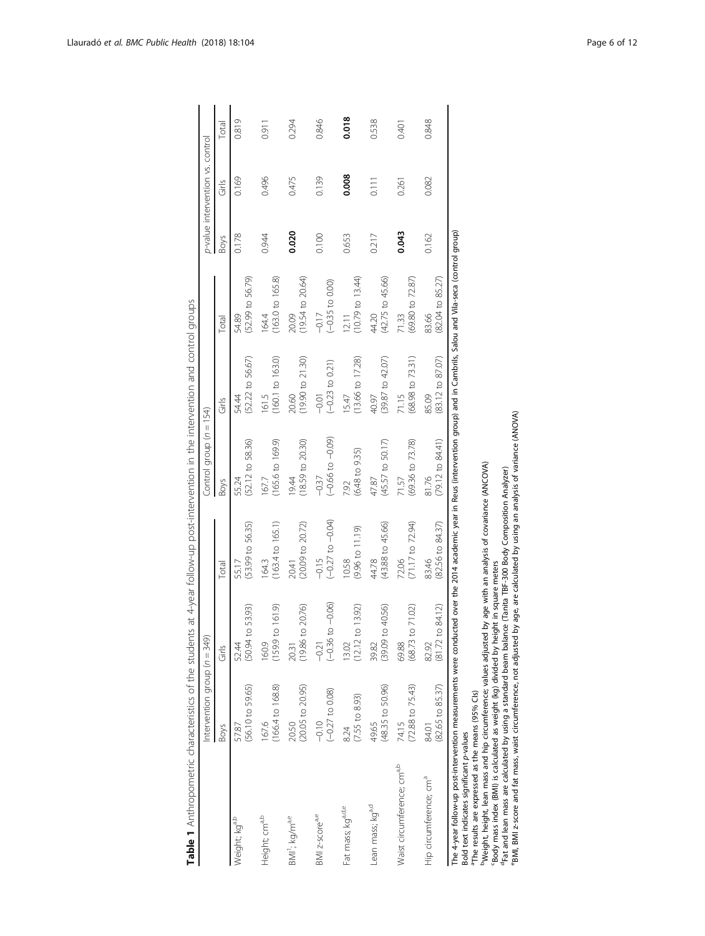<span id="page-5-0"></span>

|                                                                                                                                                                                                                                                | Intervention group $(n = 349)$        |                                      |                                                                                                                                                                       | Control group $(n = 154)$              |                                      |                                      |             | p-value intervention vs. control |       |
|------------------------------------------------------------------------------------------------------------------------------------------------------------------------------------------------------------------------------------------------|---------------------------------------|--------------------------------------|-----------------------------------------------------------------------------------------------------------------------------------------------------------------------|----------------------------------------|--------------------------------------|--------------------------------------|-------------|----------------------------------|-------|
|                                                                                                                                                                                                                                                | <b>Boys</b>                           | Girls                                | Total                                                                                                                                                                 | <b>Boys</b>                            | ĜÏŚ                                  | Total                                | <b>Boys</b> | Girls                            | Total |
| Weight; kg <sup>a,b</sup>                                                                                                                                                                                                                      | (56.10 to 59.65)<br>57.87             | $(50.94 \text{ to } 53.93)$<br>52.44 | (53.99 to 56.35)<br>55.17                                                                                                                                             | $(52.12$ to $58.36)$<br>55.24          | (52.22 to 56.67)<br>54.44            | $(52.99$ to $56.79)$<br>54.89        | 0.178       | 0.169                            | 0.819 |
| Height; cm <sup>a,b</sup>                                                                                                                                                                                                                      | (166.4 to 168.8)<br>167.6             | (159.9 to 161.9)<br>160.9            | $(163.4 \text{ to } 165.1)$<br>164.3                                                                                                                                  | $(165.6 \text{ to } 169.9)$<br>167.7   | (160.1 to 163.0)<br>161.5            | $(163.0 \text{ to } 165.8)$<br>164.4 | 0.944       | 0.496                            | 0.911 |
| BMI'; kg/m <sup>a,e</sup>                                                                                                                                                                                                                      | (20.05 to 20.95)<br>20.50             | $(19.86 \text{ to } 20.76)$<br>20.31 | (20.09 to 20.72)<br>20.41                                                                                                                                             | $(18.59$ to $20.30)$<br>19.44          | (19.90 to 21.30)<br>20.60            | $(19.54 \text{ to } 20.64)$<br>20.09 | 0.020       | 0.475                            | 0.294 |
| BMI z-scorea.e                                                                                                                                                                                                                                 | $(-0.27 \text{ to } 0.08)$<br>$-0.10$ | $10 - 0.06$<br>$(-0.36t)$<br>$-0.21$ | $(-0.27 \text{ to } -0.04)$<br>$-0.15$                                                                                                                                | $(-0.66 \text{ to } -0.09)$<br>$-0.37$ | $(-0.23$ to $0.21)$<br>$-0.01$       | $(-0.35$ to 0.00)<br>$-0.17$         | 0.100       | 0.139                            | 0.846 |
| Fat mass; kg <sup>a,d,e</sup>                                                                                                                                                                                                                  | (7.55 to 8.93)<br>8.24                | $(12.12 \text{ to } 13.92)$<br>13.02 | $(9.96 \text{ to } 11.19)$<br>10.58                                                                                                                                   | $(6.48 \text{ to } 9.35)$<br>7.92      | $(13.66 \text{ to } 17.28)$<br>15.47 | $(10.79 \text{ to } 13.44)$<br>12.11 | 0.653       | 0.008                            | 0.018 |
| Lean mass; kga,d                                                                                                                                                                                                                               | $(48.35$ to $50.96)$<br>49.65         | (39.09 to 40.56)<br>39.82            | $(43.88 \text{ to } 45.66)$<br>44.78                                                                                                                                  | $(45.57$ to 50.17)<br>47.87            | $(39.87)$ to $42.07$<br>40.97        | $(42.75 \text{ to } 45.66)$<br>44.20 | 0.217       | 0.111                            | 0.538 |
| Waist circumference; cm <sup>a,b</sup>                                                                                                                                                                                                         | (72.88 to 75.43)<br>74.15             | $(68.73 \text{ to } 71.02)$<br>69.88 | (71.17 to 72.94)<br>72.06                                                                                                                                             | $(69.36 \text{ to } 73.78)$<br>71.57   | $(68.98 \text{ to } 73.31)$<br>71.15 | $(69.80 \text{ to } 72.87)$<br>71.33 | 0.043       | 0.261                            | 0.401 |
| Hip circumference; cm <sup>a</sup>                                                                                                                                                                                                             | $(82.65 \text{ to } 85.37)$<br>84.01  | $(81.72 \text{ to } 84.12)$<br>82.92 | $(82.56 \text{ to } 84.37)$<br>83.46                                                                                                                                  | $(79.12 \text{ to } 84.41)$<br>81.76   | $(83.12 \text{ to } 87.07)$<br>85.09 | $(82.04 \text{ to } 85.27)$<br>83.66 | 0.162       | 0.082                            | 0.848 |
| p Waight haight laan mass and hin circumference values adjusted<br>The 4-year follow-up post-intervention measurements were condu<br><sup>a</sup> The results are expressed as the means (95% Cls)<br>Bold text indicates significant p-values |                                       |                                      | icted over the 2014 academic year in Reus (intervention group) and in Cambrils, Salou and Vila-seca (control group)<br>hy and with an analysis of covariance (ANCOVA) |                                        |                                      |                                      |             |                                  |       |

Table 1 Anthropometric characteristics of the students at 4-year follow-up post-intervention in the intervention and control groups Table 1 Anthropometric characteristics of the students at 4-year follow-up post-intervention in the intervention and control groups

bWeight, height, lean mass and hip circumference; values adjusted by age with an analysis of covariance (ANCOVA)

cBody mass index (BMI) is calculated as weight (kg) divided by height in square meters

<sup>b</sup>Weight, height, lean mass and hip circumference; values adjusted by age with an analysis of covariance (ANCOVA)<br>'Body mass index (BMI) is calculated as weight (kg) divided by height in square meters<br>'Fat and lean mass a dFat and lean mass are calculated by using a standard beam balance (Tanita TBF-300 Body Composition Analyzer)

eBMI, BMI z-score and fat mass, waist circumference, not adjusted by age, are calculated by using an analysis of variance (ANOVA)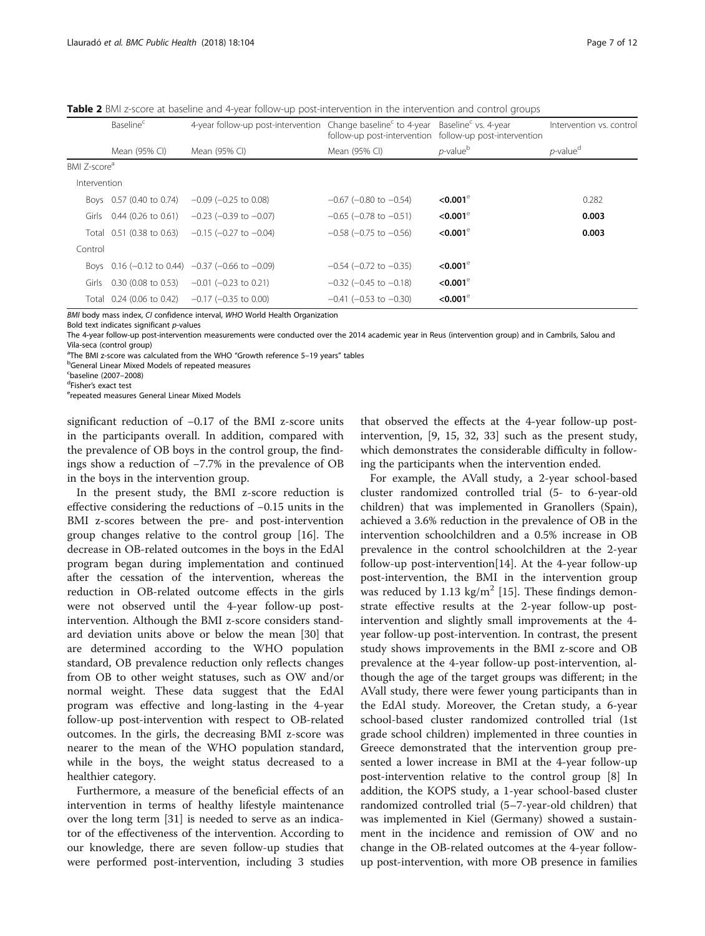<span id="page-6-0"></span>Table 2 BMI z-score at baseline and 4-year follow-up post-intervention in the intervention and control groups

|                          | <b>Baseline</b> <sup>c</sup> | 4-year follow-up post-intervention Change baseline <sup>c</sup> to 4-year | follow-up post-intervention    | Baseline vs. 4-year<br>follow-up post-intervention | Intervention vs. control |
|--------------------------|------------------------------|---------------------------------------------------------------------------|--------------------------------|----------------------------------------------------|--------------------------|
|                          | Mean (95% CI)                | Mean (95% CI)                                                             | Mean (95% CI)                  | $p$ -value $p$                                     | $p$ -value <sup>d</sup>  |
| BMI 7-score <sup>a</sup> |                              |                                                                           |                                |                                                    |                          |
| Intervention             |                              |                                                                           |                                |                                                    |                          |
|                          | Boys 0.57 (0.40 to 0.74)     | $-0.09$ ( $-0.25$ to 0.08)                                                | $-0.67$ ( $-0.80$ to $-0.54$ ) | $\leq 0.001$ <sup>e</sup>                          | 0.282                    |
| Girls                    | 0.44 (0.26 to 0.61)          | $-0.23$ ( $-0.39$ to $-0.07$ )                                            | $-0.65$ ( $-0.78$ to $-0.51$ ) | $<$ 0.001 $^{\circ}$                               | 0.003                    |
|                          | Total 0.51 (0.38 to 0.63)    | $-0.15$ ( $-0.27$ to $-0.04$ )                                            | $-0.58$ ( $-0.75$ to $-0.56$ ) | $\leq 0.001$ <sup>e</sup>                          | 0.003                    |
| Control                  |                              |                                                                           |                                |                                                    |                          |
|                          |                              | Boys 0.16 $(-0.12 \text{ to } 0.44)$ $-0.37$ $(-0.66 \text{ to } -0.09)$  | $-0.54$ ( $-0.72$ to $-0.35$ ) | $< 0.001$ <sup>e</sup>                             |                          |
| Girls                    | $0.30$ (0.08 to 0.53)        | $-0.01$ ( $-0.23$ to 0.21)                                                | $-0.32$ ( $-0.45$ to $-0.18$ ) | $<$ 0.001 $^{\circ}$                               |                          |
|                          | Total 0.24 (0.06 to 0.42)    | $-0.17$ ( $-0.35$ to 0.00)                                                | $-0.41$ ( $-0.53$ to $-0.30$ ) | $<$ 0.001 $^{\circ}$                               |                          |

BMI body mass index, CI confidence interval, WHO World Health Organization

Bold text indicates significant p-values

The 4-year follow-up post-intervention measurements were conducted over the 2014 academic year in Reus (intervention group) and in Cambrils, Salou and Vila-seca (control group)

<sup>a</sup> The BMI z-score was calculated from the WHO "Growth reference 5–19 years" tables

**bGeneral Linear Mixed Models of repeated measures** 

<sup>c</sup>baseline (2007–2008)<br><sup>d</sup>Eisber's exact test

<sup>d</sup>Fisher's exact test

repeated measures General Linear Mixed Models

significant reduction of −0.17 of the BMI z-score units in the participants overall. In addition, compared with the prevalence of OB boys in the control group, the findings show a reduction of −7.7% in the prevalence of OB in the boys in the intervention group.

In the present study, the BMI z-score reduction is effective considering the reductions of −0.15 units in the BMI z-scores between the pre- and post-intervention group changes relative to the control group [\[16](#page-10-0)]. The decrease in OB-related outcomes in the boys in the EdAl program began during implementation and continued after the cessation of the intervention, whereas the reduction in OB-related outcome effects in the girls were not observed until the 4-year follow-up postintervention. Although the BMI z-score considers standard deviation units above or below the mean [\[30\]](#page-11-0) that are determined according to the WHO population standard, OB prevalence reduction only reflects changes from OB to other weight statuses, such as OW and/or normal weight. These data suggest that the EdAl program was effective and long-lasting in the 4-year follow-up post-intervention with respect to OB-related outcomes. In the girls, the decreasing BMI z-score was nearer to the mean of the WHO population standard, while in the boys, the weight status decreased to a healthier category.

Furthermore, a measure of the beneficial effects of an intervention in terms of healthy lifestyle maintenance over the long term [[31\]](#page-11-0) is needed to serve as an indicator of the effectiveness of the intervention. According to our knowledge, there are seven follow-up studies that were performed post-intervention, including 3 studies that observed the effects at the 4-year follow-up postintervention, [[9, 15,](#page-10-0) [32](#page-11-0), [33\]](#page-11-0) such as the present study, which demonstrates the considerable difficulty in following the participants when the intervention ended.

For example, the AVall study, a 2-year school-based cluster randomized controlled trial (5- to 6-year-old children) that was implemented in Granollers (Spain), achieved a 3.6% reduction in the prevalence of OB in the intervention schoolchildren and a 0.5% increase in OB prevalence in the control schoolchildren at the 2-year follow-up post-intervention[\[14](#page-10-0)]. At the 4-year follow-up post-intervention, the BMI in the intervention group was reduced by 1.13 kg/m<sup>2</sup> [\[15](#page-10-0)]. These findings demonstrate effective results at the 2-year follow-up postintervention and slightly small improvements at the 4 year follow-up post-intervention. In contrast, the present study shows improvements in the BMI z-score and OB prevalence at the 4-year follow-up post-intervention, although the age of the target groups was different; in the AVall study, there were fewer young participants than in the EdAl study. Moreover, the Cretan study, a 6-year school-based cluster randomized controlled trial (1st grade school children) implemented in three counties in Greece demonstrated that the intervention group presented a lower increase in BMI at the 4-year follow-up post-intervention relative to the control group [\[8](#page-10-0)] In addition, the KOPS study, a 1-year school-based cluster randomized controlled trial (5–7-year-old children) that was implemented in Kiel (Germany) showed a sustainment in the incidence and remission of OW and no change in the OB-related outcomes at the 4-year followup post-intervention, with more OB presence in families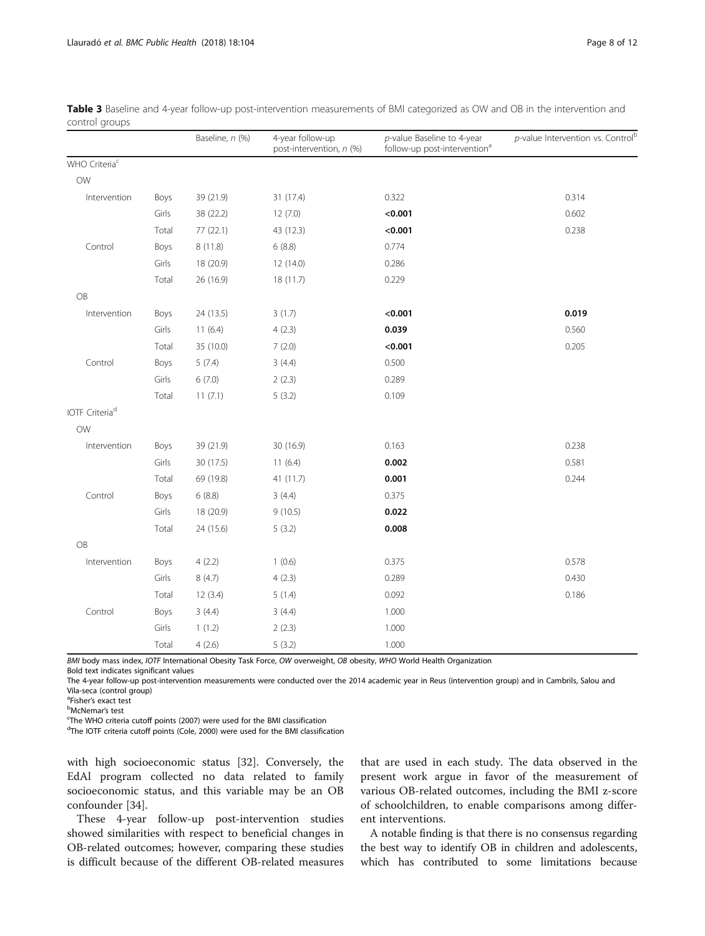|                            |       | Baseline, n (%) | 4-year follow-up<br>post-intervention, n (%) | p-value Baseline to 4-year<br>follow-up post-intervention <sup>a</sup> | p-value Intervention vs. Control <sup>b</sup> |
|----------------------------|-------|-----------------|----------------------------------------------|------------------------------------------------------------------------|-----------------------------------------------|
| WHO Criteria <sup>c</sup>  |       |                 |                                              |                                                                        |                                               |
| OW                         |       |                 |                                              |                                                                        |                                               |
| Intervention               | Boys  | 39 (21.9)       | 31 (17.4)                                    | 0.322                                                                  | 0.314                                         |
|                            | Girls | 38 (22.2)       | 12(7.0)                                      | < 0.001                                                                | 0.602                                         |
|                            | Total | 77 (22.1)       | 43 (12.3)                                    | < 0.001                                                                | 0.238                                         |
| Control                    | Boys  | 8 (11.8)        | 6(8.8)                                       | 0.774                                                                  |                                               |
|                            | Girls | 18 (20.9)       | 12 (14.0)                                    | 0.286                                                                  |                                               |
|                            | Total | 26 (16.9)       | 18(11.7)                                     | 0.229                                                                  |                                               |
| $\bigcirc$ B               |       |                 |                                              |                                                                        |                                               |
| Intervention               | Boys  | 24 (13.5)       | 3(1.7)                                       | < 0.001                                                                | 0.019                                         |
|                            | Girls | 11(6.4)         | 4(2.3)                                       | 0.039                                                                  | 0.560                                         |
|                            | Total | 35 (10.0)       | 7(2.0)                                       | < 0.001                                                                | 0.205                                         |
| Control                    | Boys  | 5(7.4)          | 3(4.4)                                       | 0.500                                                                  |                                               |
|                            | Girls | 6(7.0)          | 2(2.3)                                       | 0.289                                                                  |                                               |
|                            | Total | 11(7.1)         | 5(3.2)                                       | 0.109                                                                  |                                               |
| IOTF Criteria <sup>d</sup> |       |                 |                                              |                                                                        |                                               |
| OW                         |       |                 |                                              |                                                                        |                                               |
| Intervention               | Boys  | 39 (21.9)       | 30 (16.9)                                    | 0.163                                                                  | 0.238                                         |
|                            | Girls | 30 (17.5)       | 11(6.4)                                      | 0.002                                                                  | 0.581                                         |
|                            | Total | 69 (19.8)       | 41 (11.7)                                    | 0.001                                                                  | 0.244                                         |
| Control                    | Boys  | 6(8.8)          | 3(4.4)                                       | 0.375                                                                  |                                               |
|                            | Girls | 18 (20.9)       | 9(10.5)                                      | 0.022                                                                  |                                               |
|                            | Total | 24 (15.6)       | 5(3.2)                                       | 0.008                                                                  |                                               |
| $\bigcirc$                 |       |                 |                                              |                                                                        |                                               |
| Intervention               | Boys  | 4(2.2)          | 1(0.6)                                       | 0.375                                                                  | 0.578                                         |
|                            | Girls | 8(4.7)          | 4(2.3)                                       | 0.289                                                                  | 0.430                                         |
|                            | Total | 12(3.4)         | 5(1.4)                                       | 0.092                                                                  | 0.186                                         |
| Control                    | Boys  | 3(4.4)          | 3(4.4)                                       | 1.000                                                                  |                                               |
|                            | Girls | 1(1.2)          | 2(2.3)                                       | 1.000                                                                  |                                               |
|                            | Total | 4(2.6)          | 5(3.2)                                       | 1.000                                                                  |                                               |

<span id="page-7-0"></span>Table 3 Baseline and 4-year follow-up post-intervention measurements of BMI categorized as OW and OB in the intervention and control groups

BMI body mass index, IOTF International Obesity Task Force, OW overweight, OB obesity, WHO World Health Organization

Bold text indicates significant values

The 4-year follow-up post-intervention measurements were conducted over the 2014 academic year in Reus (intervention group) and in Cambrils, Salou and Vila-seca (control group)

<sup>a</sup>Fisher's exact test

bMcNemar's test

The WHO criteria cutoff points (2007) were used for the BMI classification

<sup>d</sup>The IOTF criteria cutoff points (Cole, 2000) were used for the BMI classification

with high socioeconomic status [[32](#page-11-0)]. Conversely, the EdAl program collected no data related to family socioeconomic status, and this variable may be an OB confounder [[34\]](#page-11-0).

These 4-year follow-up post-intervention studies showed similarities with respect to beneficial changes in OB-related outcomes; however, comparing these studies is difficult because of the different OB-related measures

that are used in each study. The data observed in the present work argue in favor of the measurement of various OB-related outcomes, including the BMI z-score of schoolchildren, to enable comparisons among different interventions.

A notable finding is that there is no consensus regarding the best way to identify OB in children and adolescents, which has contributed to some limitations because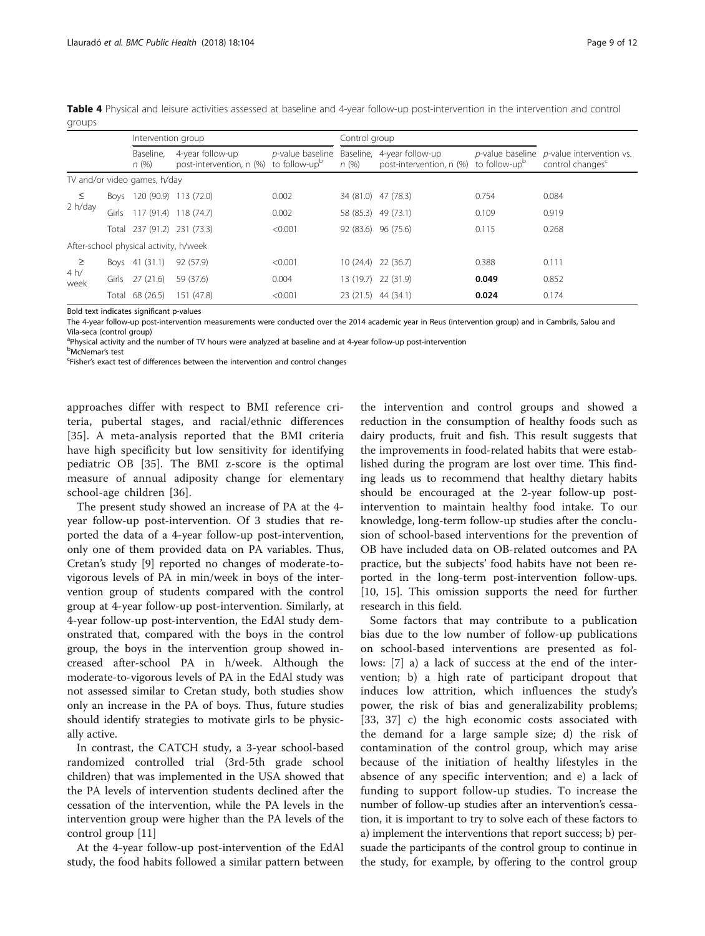<span id="page-8-0"></span>Table 4 Physical and leisure activities assessed at baseline and 4-year follow-up post-intervention in the intervention and control groups

|                                        |       | Intervention group           |                                              |                                                       | Control group       |                                              |                                               |                                                                  |
|----------------------------------------|-------|------------------------------|----------------------------------------------|-------------------------------------------------------|---------------------|----------------------------------------------|-----------------------------------------------|------------------------------------------------------------------|
|                                        |       | Baseline.<br>n(%)            | 4-year follow-up<br>post-intervention, n (%) | <i>p</i> -value baseline<br>to follow-up <sup>b</sup> | Baseline,<br>n(%)   | 4-year follow-up<br>post-intervention, n (%) | p-value baseline<br>to follow-up <sup>b</sup> | <i>p</i> -value intervention vs.<br>control changes <sup>c</sup> |
|                                        |       | TV and/or video games, h/day |                                              |                                                       |                     |                                              |                                               |                                                                  |
| ≤<br>2 h/day                           | Bovs  | 120 (90.9) 113 (72.0)        |                                              | 0.002                                                 | 34 (81.0) 47 (78.3) |                                              | 0.754                                         | 0.084                                                            |
|                                        | Girls | 117 (91.4) 118 (74.7)        |                                              | 0.002                                                 | 58 (85.3) 49 (73.1) |                                              | 0.109                                         | 0.919                                                            |
|                                        | Total | 237 (91.2) 231 (73.3)        |                                              | < 0.001                                               | 92 (83.6) 96 (75.6) |                                              | 0.115                                         | 0.268                                                            |
| After-school physical activity, h/week |       |                              |                                              |                                                       |                     |                                              |                                               |                                                                  |
| $\geq$<br>4 h/<br>week                 |       | Boys 41 (31.1)               | 92 (57.9)                                    | < 0.001                                               | 10 (24.4) 22 (36.7) |                                              | 0.388                                         | 0.111                                                            |
|                                        | Girls | 27(21.6)                     | 59 (37.6)                                    | 0.004                                                 |                     | 13 (19.7) 22 (31.9)                          | 0.049                                         | 0.852                                                            |
|                                        |       | Total 68 (26.5)              | 151 (47.8)                                   | < 0.001                                               | 23 (21.5) 44 (34.1) |                                              | 0.024                                         | 0.174                                                            |

Bold text indicates significant p-values

The 4-year follow-up post-intervention measurements were conducted over the 2014 academic year in Reus (intervention group) and in Cambrils, Salou and Vila-seca (control group)

<sup>a</sup>Physical activity and the number of TV hours were analyzed at baseline and at 4-year follow-up post-intervention

<sup>b</sup>McNemar's test<br><sup>C</sup>Eisbor's exact to Fisher's exact test of differences between the intervention and control changes

approaches differ with respect to BMI reference criteria, pubertal stages, and racial/ethnic differences [[35\]](#page-11-0). A meta-analysis reported that the BMI criteria have high specificity but low sensitivity for identifying pediatric OB [\[35](#page-11-0)]. The BMI z-score is the optimal measure of annual adiposity change for elementary school-age children [\[36](#page-11-0)].

The present study showed an increase of PA at the 4 year follow-up post-intervention. Of 3 studies that reported the data of a 4-year follow-up post-intervention, only one of them provided data on PA variables. Thus, Cretan's study [[9\]](#page-10-0) reported no changes of moderate-tovigorous levels of PA in min/week in boys of the intervention group of students compared with the control group at 4-year follow-up post-intervention. Similarly, at 4-year follow-up post-intervention, the EdAl study demonstrated that, compared with the boys in the control group, the boys in the intervention group showed increased after-school PA in h/week. Although the moderate-to-vigorous levels of PA in the EdAl study was not assessed similar to Cretan study, both studies show only an increase in the PA of boys. Thus, future studies should identify strategies to motivate girls to be physically active.

In contrast, the CATCH study, a 3-year school-based randomized controlled trial (3rd-5th grade school children) that was implemented in the USA showed that the PA levels of intervention students declined after the cessation of the intervention, while the PA levels in the intervention group were higher than the PA levels of the control group [\[11](#page-10-0)]

At the 4-year follow-up post-intervention of the EdAl study, the food habits followed a similar pattern between

the intervention and control groups and showed a reduction in the consumption of healthy foods such as dairy products, fruit and fish. This result suggests that the improvements in food-related habits that were established during the program are lost over time. This finding leads us to recommend that healthy dietary habits should be encouraged at the 2-year follow-up postintervention to maintain healthy food intake. To our knowledge, long-term follow-up studies after the conclusion of school-based interventions for the prevention of OB have included data on OB-related outcomes and PA practice, but the subjects' food habits have not been reported in the long-term post-intervention follow-ups. [[10, 15\]](#page-10-0). This omission supports the need for further research in this field.

Some factors that may contribute to a publication bias due to the low number of follow-up publications on school-based interventions are presented as follows: [\[7](#page-10-0)] a) a lack of success at the end of the intervention; b) a high rate of participant dropout that induces low attrition, which influences the study's power, the risk of bias and generalizability problems; [[33, 37\]](#page-11-0) c) the high economic costs associated with the demand for a large sample size; d) the risk of contamination of the control group, which may arise because of the initiation of healthy lifestyles in the absence of any specific intervention; and e) a lack of funding to support follow-up studies. To increase the number of follow-up studies after an intervention's cessation, it is important to try to solve each of these factors to a) implement the interventions that report success; b) persuade the participants of the control group to continue in the study, for example, by offering to the control group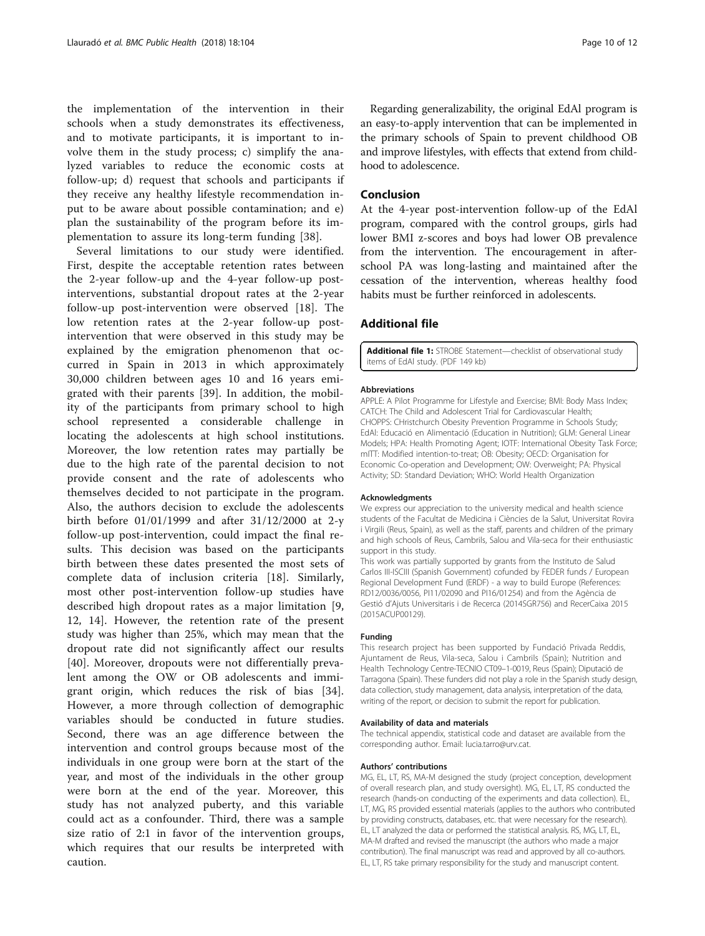<span id="page-9-0"></span>the implementation of the intervention in their schools when a study demonstrates its effectiveness, and to motivate participants, it is important to involve them in the study process; c) simplify the analyzed variables to reduce the economic costs at follow-up; d) request that schools and participants if they receive any healthy lifestyle recommendation input to be aware about possible contamination; and e) plan the sustainability of the program before its implementation to assure its long-term funding [[38\]](#page-11-0).

Several limitations to our study were identified. First, despite the acceptable retention rates between the 2-year follow-up and the 4-year follow-up postinterventions, substantial dropout rates at the 2-year follow-up post-intervention were observed [[18\]](#page-10-0). The low retention rates at the 2-year follow-up postintervention that were observed in this study may be explained by the emigration phenomenon that occurred in Spain in 2013 in which approximately 30,000 children between ages 10 and 16 years emigrated with their parents [[39\]](#page-11-0). In addition, the mobility of the participants from primary school to high school represented a considerable challenge in locating the adolescents at high school institutions. Moreover, the low retention rates may partially be due to the high rate of the parental decision to not provide consent and the rate of adolescents who themselves decided to not participate in the program. Also, the authors decision to exclude the adolescents birth before 01/01/1999 and after 31/12/2000 at 2-y follow-up post-intervention, could impact the final results. This decision was based on the participants birth between these dates presented the most sets of complete data of inclusion criteria [[18\]](#page-10-0). Similarly, most other post-intervention follow-up studies have described high dropout rates as a major limitation [\[9](#page-10-0), [12, 14\]](#page-10-0). However, the retention rate of the present study was higher than 25%, which may mean that the dropout rate did not significantly affect our results [[40\]](#page-11-0). Moreover, dropouts were not differentially prevalent among the OW or OB adolescents and immigrant origin, which reduces the risk of bias [\[34](#page-11-0)]. However, a more through collection of demographic variables should be conducted in future studies. Second, there was an age difference between the intervention and control groups because most of the individuals in one group were born at the start of the year, and most of the individuals in the other group were born at the end of the year. Moreover, this study has not analyzed puberty, and this variable could act as a confounder. Third, there was a sample size ratio of 2:1 in favor of the intervention groups, which requires that our results be interpreted with caution.

Regarding generalizability, the original EdAl program is an easy-to-apply intervention that can be implemented in the primary schools of Spain to prevent childhood OB and improve lifestyles, with effects that extend from childhood to adolescence.

## Conclusion

At the 4-year post-intervention follow-up of the EdAl program, compared with the control groups, girls had lower BMI z-scores and boys had lower OB prevalence from the intervention. The encouragement in afterschool PA was long-lasting and maintained after the cessation of the intervention, whereas healthy food habits must be further reinforced in adolescents.

## Additional file

[Additional file 1:](dx.doi.org/10.1186/s12889-017-5006-0) STROBE Statement-checklist of observational study items of EdAl study. (PDF 149 kb)

#### Abbreviations

APPLE: A Pilot Programme for Lifestyle and Exercise; BMI: Body Mass Index; CATCH: The Child and Adolescent Trial for Cardiovascular Health; CHOPPS: CHristchurch Obesity Prevention Programme in Schools Study; EdAl: Educació en Alimentació (Education in Nutrition); GLM: General Linear Models; HPA: Health Promoting Agent; IOTF: International Obesity Task Force; mITT: Modified intention-to-treat; OB: Obesity; OECD: Organisation for Economic Co-operation and Development; OW: Overweight; PA: Physical Activity; SD: Standard Deviation; WHO: World Health Organization

#### Acknowledgments

We express our appreciation to the university medical and health science students of the Facultat de Medicina i Ciències de la Salut, Universitat Rovira i Virgili (Reus, Spain), as well as the staff, parents and children of the primary and high schools of Reus, Cambrils, Salou and Vila-seca for their enthusiastic support in this study.

This work was partially supported by grants from the Instituto de Salud Carlos III-ISCIII (Spanish Government) cofunded by FEDER funds / European Regional Development Fund (ERDF) - a way to build Europe (References: RD12/0036/0056, PI11/02090 and PI16/01254) and from the Agència de Gestió d'Ajuts Universitaris i de Recerca (2014SGR756) and RecerCaixa 2015 (2015ACUP00129).

#### Funding

This research project has been supported by Fundació Privada Reddis, Ajuntament de Reus, Vila-seca, Salou i Cambrils (Spain); Nutrition and Health Technology Centre-TECNIO CT09–1-0019, Reus (Spain); Diputació de Tarragona (Spain). These funders did not play a role in the Spanish study design, data collection, study management, data analysis, interpretation of the data, writing of the report, or decision to submit the report for publication.

#### Availability of data and materials

The technical appendix, statistical code and dataset are available from the corresponding author. Email: lucia.tarro@urv.cat.

#### Authors' contributions

MG, EL, LT, RS, MA-M designed the study (project conception, development of overall research plan, and study oversight). MG, EL, LT, RS conducted the research (hands-on conducting of the experiments and data collection). EL, LT, MG, RS provided essential materials (applies to the authors who contributed by providing constructs, databases, etc. that were necessary for the research). EL, LT analyzed the data or performed the statistical analysis. RS, MG, LT, EL, MA-M drafted and revised the manuscript (the authors who made a major contribution). The final manuscript was read and approved by all co-authors. EL, LT, RS take primary responsibility for the study and manuscript content.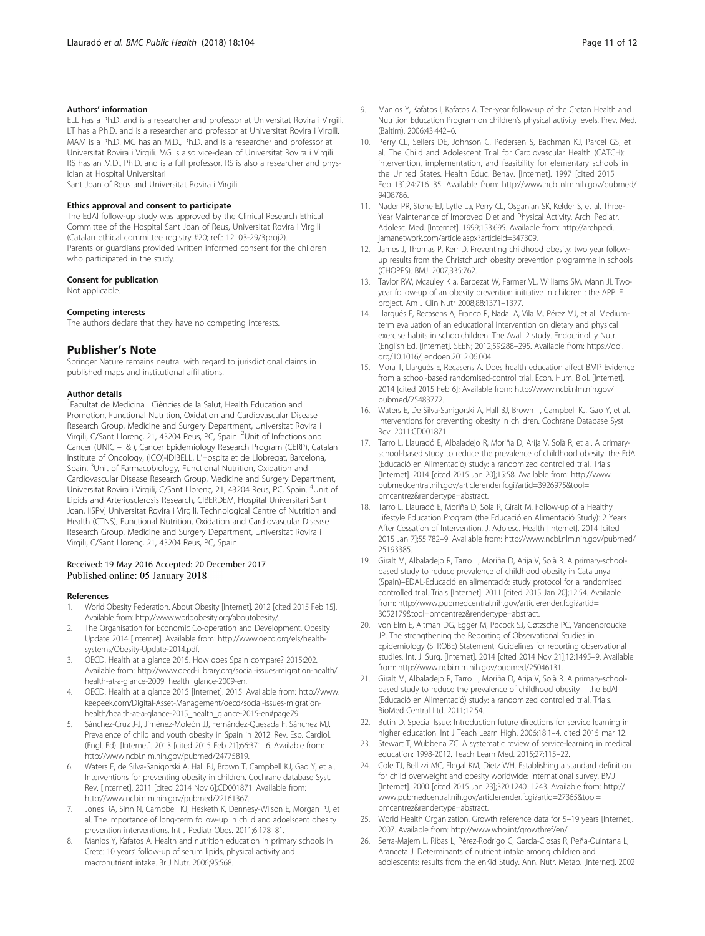#### <span id="page-10-0"></span>Authors' information

ELL has a Ph.D. and is a researcher and professor at Universitat Rovira i Virgili. LT has a Ph.D. and is a researcher and professor at Universitat Rovira i Virgili. MAM is a Ph.D. MG has an M.D., Ph.D. and is a researcher and professor at Universitat Rovira i Virgili. MG is also vice-dean of Universitat Rovira i Virgili. RS has an M.D., Ph.D. and is a full professor. RS is also a researcher and physician at Hospital Universitari

Sant Joan of Reus and Universitat Rovira i Virgili.

#### Ethics approval and consent to participate

The EdAl follow-up study was approved by the Clinical Research Ethical Committee of the Hospital Sant Joan of Reus, Universitat Rovira i Virgili (Catalan ethical committee registry #20; ref.: 12–03-29/3proj2). Parents or guardians provided written informed consent for the children who participated in the study.

#### Consent for publication

Not applicable.

#### Competing interests

The authors declare that they have no competing interests.

#### Publisher's Note

Springer Nature remains neutral with regard to jurisdictional claims in published maps and institutional affiliations.

#### Author details

<sup>1</sup> Facultat de Medicina i Ciències de la Salut, Health Education and Promotion, Functional Nutrition, Oxidation and Cardiovascular Disease Research Group, Medicine and Surgery Department, Universitat Rovira i Virgili, C/Sant Llorenç, 21, 43204 Reus, PC, Spain. <sup>2</sup>Unit of Infections and Cancer (UNIC – I&I), Cancer Epidemiology Research Program (CERP), Catalan Institute of Oncology, (ICO)-IDIBELL, L'Hospitalet de Llobregat, Barcelona, Spain. <sup>3</sup>Unit of Farmacobiology, Functional Nutrition, Oxidation and Cardiovascular Disease Research Group, Medicine and Surgery Department, Universitat Rovira i Virgili, C/Sant Llorenç, 21, 43204 Reus, PC, Spain. <sup>4</sup>Unit of Lipids and Arteriosclerosis Research, CIBERDEM, Hospital Universitari Sant Joan, IISPV, Universitat Rovira i Virgili, Technological Centre of Nutrition and Health (CTNS), Functional Nutrition, Oxidation and Cardiovascular Disease Research Group, Medicine and Surgery Department, Universitat Rovira i Virgili, C/Sant Llorenç, 21, 43204 Reus, PC, Spain.

#### Received: 19 May 2016 Accepted: 20 December 2017 Published online: 05 January 2018

#### References

- 1. World Obesity Federation. About Obesity [Internet]. 2012 [cited 2015 Feb 15]. Available from: [http://www.worldobesity.org/aboutobesity/.](http://www.worldobesity.org/aboutobesity/)
- 2. The Organisation for Economic Co-operation and Development. Obesity Update 2014 [Internet]. Available from: [http://www.oecd.org/els/health](http://www.oecd.org/els/health-systems/Obesity-Update-2014.pdf)[systems/Obesity-Update-2014.pdf](http://www.oecd.org/els/health-systems/Obesity-Update-2014.pdf).
- 3. OECD. Health at a glance 2015. How does Spain compare? 2015;202. Available from: [http://www.oecd-ilibrary.org/social-issues-migration-health/](http://www.oecd-ilibrary.org/social-issues-migration-health/health-at-a-glance-2009_health_glance-2009-en) [health-at-a-glance-2009\\_health\\_glance-2009-en.](http://www.oecd-ilibrary.org/social-issues-migration-health/health-at-a-glance-2009_health_glance-2009-en)
- 4. OECD. Health at a glance 2015 [Internet]. 2015. Available from: [http://www.](http://www.keepeek.com/Digital-Asset-Management/oecd/social-issues-migration-health/health-at-a-glance-2015_health_glance-2015-en#page79) [keepeek.com/Digital-Asset-Management/oecd/social-issues-migration](http://www.keepeek.com/Digital-Asset-Management/oecd/social-issues-migration-health/health-at-a-glance-2015_health_glance-2015-en#page79)[health/health-at-a-glance-2015\\_health\\_glance-2015-en#page79](http://www.keepeek.com/Digital-Asset-Management/oecd/social-issues-migration-health/health-at-a-glance-2015_health_glance-2015-en#page79).
- 5. Sánchez-Cruz J-J, Jiménez-Moleón JJ, Fernández-Quesada F, Sánchez MJ. Prevalence of child and youth obesity in Spain in 2012. Rev. Esp. Cardiol. (Engl. Ed). [Internet]. 2013 [cited 2015 Feb 21];66:371–6. Available from: [http://www.ncbi.nlm.nih.gov/pubmed/24775819.](http://www.ncbi.nlm.nih.gov/pubmed/24775819)
- Waters E, de Silva-Sanigorski A, Hall BJ, Brown T, Campbell KJ, Gao Y, et al. Interventions for preventing obesity in children. Cochrane database Syst. Rev. [Internet]. 2011 [cited 2014 Nov 6];CD001871. Available from: [http://www.ncbi.nlm.nih.gov/pubmed/22161367.](http://www.ncbi.nlm.nih.gov/pubmed/22161367)
- 7. Jones RA, Sinn N, Campbell KJ, Hesketh K, Dennesy-Wilson E, Morgan PJ, et al. The importance of long-term follow-up in child and adoelscent obesity prevention interventions. Int J Pediatr Obes. 2011;6:178–81.
- Manios Y, Kafatos A. Health and nutrition education in primary schools in Crete: 10 years' follow-up of serum lipids, physical activity and macronutrient intake. Br J Nutr. 2006;95:568.
- 9. Manios Y, Kafatos I, Kafatos A. Ten-year follow-up of the Cretan Health and Nutrition Education Program on children's physical activity levels. Prev. Med. (Baltim). 2006;43:442–6.
- 10. Perry CL, Sellers DE, Johnson C, Pedersen S, Bachman KJ, Parcel GS, et al. The Child and Adolescent Trial for Cardiovascular Health (CATCH): intervention, implementation, and feasibility for elementary schools in the United States. Health Educ. Behav. [Internet]. 1997 [cited 2015 Feb 13];24:716–35. Available from: [http://www.ncbi.nlm.nih.gov/pubmed/](http://www.ncbi.nlm.nih.gov/pubmed/9408786) [9408786](http://www.ncbi.nlm.nih.gov/pubmed/9408786).
- 11. Nader PR, Stone EJ, Lytle La, Perry CL, Osganian SK, Kelder S, et al. Three-Year Maintenance of Improved Diet and Physical Activity. Arch. Pediatr. Adolesc. Med. [Internet]. 1999;153:695. Available from: [http://archpedi.](http://archpedi.jamanetwork.com/article.aspx?articleid=347309) [jamanetwork.com/article.aspx?articleid=347309](http://archpedi.jamanetwork.com/article.aspx?articleid=347309).
- 12. James J, Thomas P, Kerr D. Preventing childhood obesity: two year followup results from the Christchurch obesity prevention programme in schools (CHOPPS). BMJ. 2007;335:762.
- 13. Taylor RW, Mcauley K a, Barbezat W, Farmer VL, Williams SM, Mann JI. Twoyear follow-up of an obesity prevention initiative in children : the APPLE project. Am J Clin Nutr 2008;88:1371–1377.
- 14. Llargués E, Recasens A, Franco R, Nadal A, Vila M, Pérez MJ, et al. Mediumterm evaluation of an educational intervention on dietary and physical exercise habits in schoolchildren: The Avall 2 study. Endocrinol. y Nutr. (English Ed. [Internet]. SEEN; 2012;59:288–295. Available from: [https://doi.](http://dx.doi.org/10.1016/j.endoen.2012.06.004) [org/10.1016/j.endoen.2012.06.004.](http://dx.doi.org/10.1016/j.endoen.2012.06.004)
- 15. Mora T, Llargués E, Recasens A. Does health education affect BMI? Evidence from a school-based randomised-control trial. Econ. Hum. Biol. [Internet]. 2014 [cited 2015 Feb 6]; Available from: [http://www.ncbi.nlm.nih.gov/](http://www.ncbi.nlm.nih.gov/pubmed/25483772) [pubmed/25483772.](http://www.ncbi.nlm.nih.gov/pubmed/25483772)
- 16. Waters E, De Silva-Sanigorski A, Hall BJ, Brown T, Campbell KJ, Gao Y, et al. Interventions for preventing obesity in children. Cochrane Database Syst Rev. 2011:CD001871.
- 17. Tarro L, Llauradó E, Albaladejo R, Moriña D, Arija V, Solà R, et al. A primaryschool-based study to reduce the prevalence of childhood obesity–the EdAl (Educació en Alimentació) study: a randomized controlled trial. Trials [Internet]. 2014 [cited 2015 Jan 20];15:58. Available from: [http://www.](http://www.pubmedcentral.nih.gov/articlerender.fcgi?artid=3926975&tool=pmcentrez&rendertype=abstract) [pubmedcentral.nih.gov/articlerender.fcgi?artid=3926975&tool=](http://www.pubmedcentral.nih.gov/articlerender.fcgi?artid=3926975&tool=pmcentrez&rendertype=abstract) [pmcentrez&rendertype=abstract.](http://www.pubmedcentral.nih.gov/articlerender.fcgi?artid=3926975&tool=pmcentrez&rendertype=abstract)
- 18. Tarro L, Llauradó E, Moriña D, Solà R, Giralt M. Follow-up of a Healthy Lifestyle Education Program (the Educació en Alimentació Study): 2 Years After Cessation of Intervention. J. Adolesc. Health [Internet]. 2014 [cited 2015 Jan 7];55:782–9. Available from: [http://www.ncbi.nlm.nih.gov/pubmed/](http://www.ncbi.nlm.nih.gov/pubmed/25193385) [25193385](http://www.ncbi.nlm.nih.gov/pubmed/25193385).
- 19. Giralt M, Albaladejo R, Tarro L, Moriña D, Arija V, Solà R. A primary-schoolbased study to reduce prevalence of childhood obesity in Catalunya (Spain)–EDAL-Educació en alimentació: study protocol for a randomised controlled trial. Trials [Internet]. 2011 [cited 2015 Jan 20];12:54. Available from: [http://www.pubmedcentral.nih.gov/articlerender.fcgi?artid=](http://www.pubmedcentral.nih.gov/articlerender.fcgi?artid=3052179&tool=pmcentrez&rendertype=abstract) [3052179&tool=pmcentrez&rendertype=abstract](http://www.pubmedcentral.nih.gov/articlerender.fcgi?artid=3052179&tool=pmcentrez&rendertype=abstract).
- 20. von Elm E, Altman DG, Egger M, Pocock SJ, Gøtzsche PC, Vandenbroucke JP. The strengthening the Reporting of Observational Studies in Epidemiology (STROBE) Statement: Guidelines for reporting observational studies. Int. J. Surg. [Internet]. 2014 [cited 2014 Nov 21];12:1495–9. Available from: [http://www.ncbi.nlm.nih.gov/pubmed/25046131.](http://www.ncbi.nlm.nih.gov/pubmed/25046131)
- 21. Giralt M, Albaladejo R, Tarro L, Moriña D, Arija V, Solà R. A primary-schoolbased study to reduce the prevalence of childhood obesity – the EdAl (Educació en Alimentació) study: a randomized controlled trial. Trials. BioMed Central Ltd. 2011;12:54.
- 22. Butin D. Special Issue: Introduction future directions for service learning in higher education. Int J Teach Learn High. 2006;18:1–4. cited 2015 mar 12.
- 23. Stewart T, Wubbena ZC. A systematic review of service-learning in medical education: 1998-2012. Teach Learn Med. 2015;27:115–22.
- 24. Cole TJ, Bellizzi MC, Flegal KM, Dietz WH. Establishing a standard definition for child overweight and obesity worldwide: international survey. BMJ [Internet]. 2000 [cited 2015 Jan 23];320:1240–1243. Available from: [http://](http://www.pubmedcentral.nih.gov/articlerender.fcgi?artid=27365&tool=pmcentrez&rendertype=abstract) [www.pubmedcentral.nih.gov/articlerender.fcgi?artid=27365&tool=](http://www.pubmedcentral.nih.gov/articlerender.fcgi?artid=27365&tool=pmcentrez&rendertype=abstract) [pmcentrez&rendertype=abstract.](http://www.pubmedcentral.nih.gov/articlerender.fcgi?artid=27365&tool=pmcentrez&rendertype=abstract)
- 25. World Health Organization. Growth reference data for 5–19 years [Internet]. 2007. Available from: [http://www.who.int/growthref/en/.](http://www.who.int/growthref/en)
- 26. Serra-Majem L, Ribas L, Pérez-Rodrigo C, García-Closas R, Peña-Quintana L, Aranceta J. Determinants of nutrient intake among children and adolescents: results from the enKid Study. Ann. Nutr. Metab. [Internet]. 2002